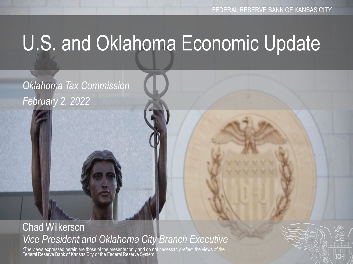# U.S. and Oklahoma Economic Update

*Oklahoma Tax Commission February 2, 2022*

#### Chad Wilkerson *Vice President and Oklahoma City Branch Executive*

\*The views expressed herein are those of the presenter only and do not necessarily reflect the views of the Federal Reserve Bank of Kansas City or the Federal Reserve System.

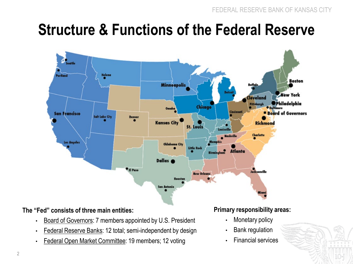#### **Structure & Functions of the Federal Reserve**



#### **The "Fed" consists of three main entities:**

- Board of Governors: 7 members appointed by U.S. President
- Federal Reserve Banks: 12 total; semi-independent by design
- Federal Open Market Committee: 19 members; 12 voting

#### **Primary responsibility areas:**

- Monetary policy
- Bank regulation
- Financial services

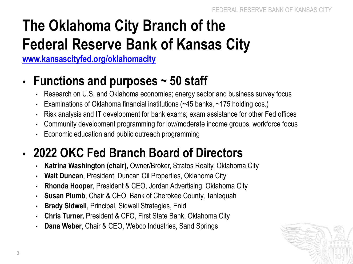## **The Oklahoma City Branch of the Federal Reserve Bank of Kansas City**

**[www.kansascityfed.org/oklahomacity](http://www.kansascityfed.org/oklahomacity)**

#### • **Functions and purposes ~ 50 staff**

- Research on U.S. and Oklahoma economies; energy sector and business survey focus
- Examinations of Oklahoma financial institutions (~45 banks, ~175 holding cos.)
- Risk analysis and IT development for bank exams; exam assistance for other Fed offices
- Community development programming for low/moderate income groups, workforce focus
- Economic education and public outreach programming

#### • **2022 OKC Fed Branch Board of Directors**

- **Katrina Washington (chair),** Owner/Broker, Stratos Realty, Oklahoma City
- **Walt Duncan**, President, Duncan Oil Properties, Oklahoma City
- **Rhonda Hooper**, President & CEO, Jordan Advertising, Oklahoma City
- **Susan Plumb**, Chair & CEO, Bank of Cherokee County, Tahlequah
- **Brady Sidwell**, Principal, Sidwell Strategies, Enid
- **Chris Turner,** President & CFO, First State Bank, Oklahoma City
- **Dana Weber**, Chair & CEO, Webco Industries, Sand Springs

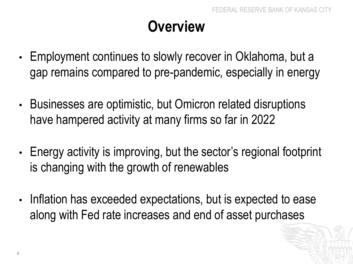#### **Overview**

- Employment continues to slowly recover in Oklahoma, but a gap remains compared to pre-pandemic, especially in energy
- Businesses are optimistic, but Omicron related disruptions have hampered activity at many firms so far in 2022
- Energy activity is improving, but the sector's regional footprint is changing with the growth of renewables
- Inflation has exceeded expectations, but is expected to ease along with Fed rate increases and end of asset purchases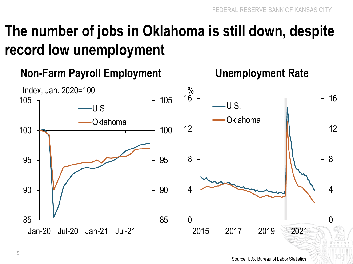#### **The number of jobs in Oklahoma is still down, despite record low unemployment**

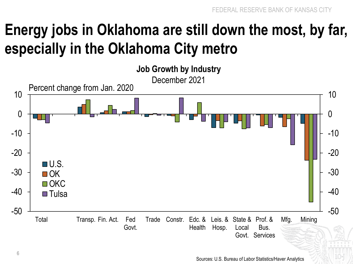#### **Energy jobs in Oklahoma are still down the most, by far, especially in the Oklahoma City metro**

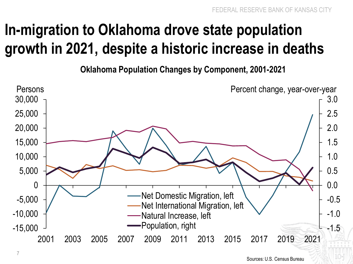#### **In-migration to Oklahoma drove state population growth in 2021, despite a historic increase in deaths**

**Oklahoma Population Changes by Component, 2001-2021** 

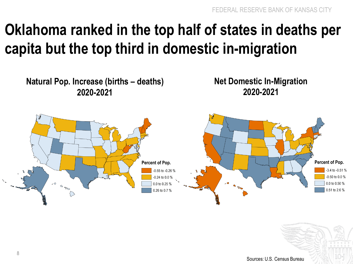#### **Oklahoma ranked in the top half of states in deaths per capita but the top third in domestic in-migration**

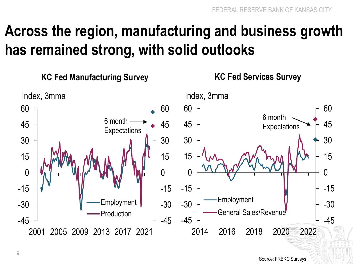#### **Across the region, manufacturing and business growth has remained strong, with solid outlooks**

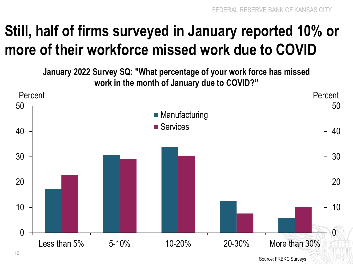### **Still, half of firms surveyed in January reported 10% or more of their workforce missed work due to COVID**

**January 2022 Survey SQ: "What percentage of your work force has missed work in the month of January due to COVID?"**

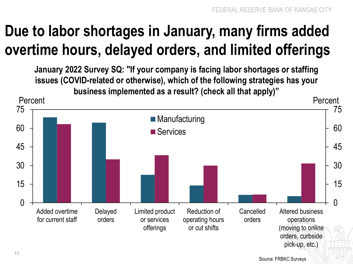## **Due to labor shortages in January, many firms added overtime hours, delayed orders, and limited offerings**

**January 2022 Survey SQ: "If your company is facing labor shortages or staffing issues (COVID-related or otherwise), which of the following strategies has your business implemented as a result? (check all that apply)"**

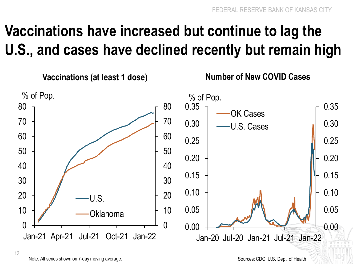## **Vaccinations have increased but continue to lag the U.S., and cases have declined recently but remain high**



Note: All series shown on 7-day moving average.

Sources: CDC, U.S. Dept. of Health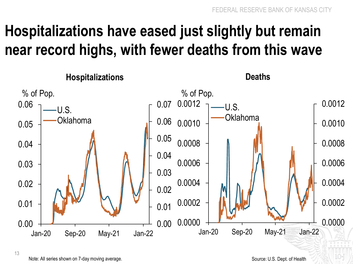#### **Hospitalizations have eased just slightly but remain near record highs, with fewer deaths from this wave**



Note: All series shown on 7-day moving average.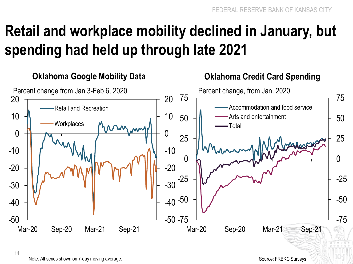## **Retail and workplace mobility declined in January, but spending had held up through late 2021**



Note: All series shown on 7-day moving average.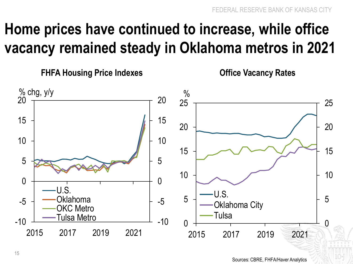#### **Home prices have continued to increase, while office vacancy remained steady in Oklahoma metros in 2021**

**FHFA Housing Price Indexes Office Vacancy Rates**

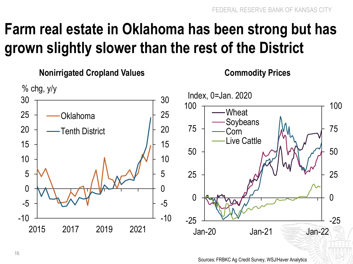#### **Farm real estate in Oklahoma has been strong but has grown slightly slower than the rest of the District**

**Nonirrigated Cropland Values Commodity Prices**

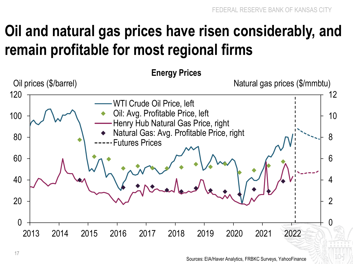#### **Oil and natural gas prices have risen considerably, and remain profitable for most regional firms**

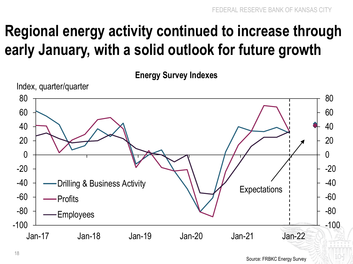## **Regional energy activity continued to increase through early January, with a solid outlook for future growth**

**Energy Survey Indexes**

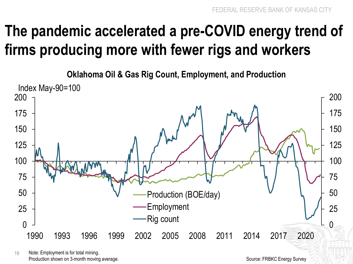#### **The pandemic accelerated a pre-COVID energy trend of firms producing more with fewer rigs and workers**

**Oklahoma Oil & Gas Rig Count, Employment, and Production**



 Note: Employment is for total mining. Production shown on 3-month moving average.

Source: FRBKC Energy Survey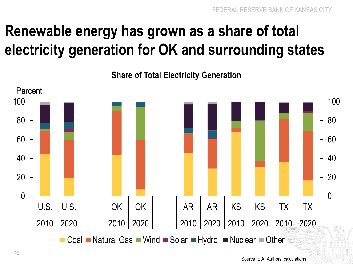### **Renewable energy has grown as a share of total electricity generation for OK and surrounding states**

**Share of Total Electricity Generation**

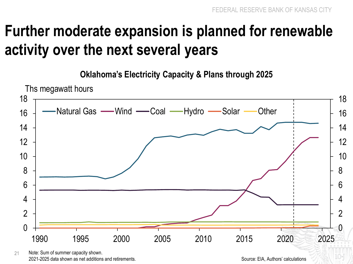#### **Further moderate expansion is planned for renewable activity over the next several years**

**Oklahoma's Electricity Capacity & Plans through 2025**



 Note: Sum of summer capacity shown. 2021-2025 data shown as net additions and retirements.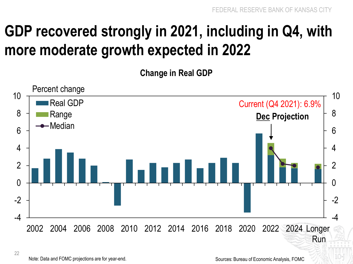#### **GDP recovered strongly in 2021, including in Q4, with more moderate growth expected in 2022**

**Change in Real GDP**



22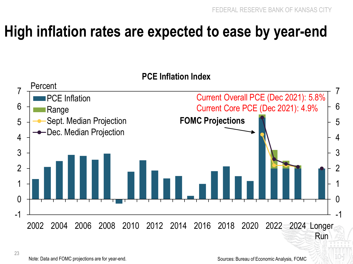#### **High inflation rates are expected to ease by year-end**

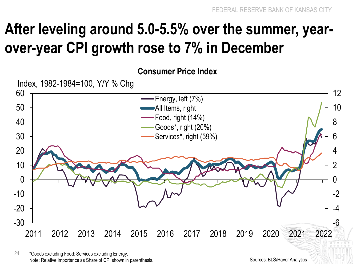#### **After leveling around 5.0-5.5% over the summer, yearover-year CPI growth rose to 7% in December**



24 \*Goods excluding Food; Services excluding Energy. Note: Relative Importance as Share of CPI shown in parenthesis.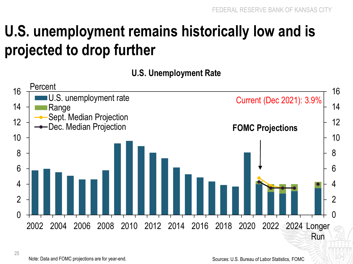#### **U.S. unemployment remains historically low and is projected to drop further**

**U.S. Unemployment Rate** 



25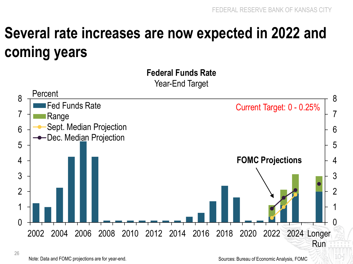#### **Several rate increases are now expected in 2022 and coming years**

**Federal Funds Rate**  Year-End Target 0 1 2 3 4 5 6 7 8  $\Omega$ 1 2 3 4 5 6 7 8 2002 2004 2006 2008 2010 2012 2014 2016 2018 2020 2022 2024 Longer Fed Funds Rate Range Sept. Median Projection Dec. Median Projection **Percent** Current Target: 0 - 0.25% **FOMC Projections**

26

Run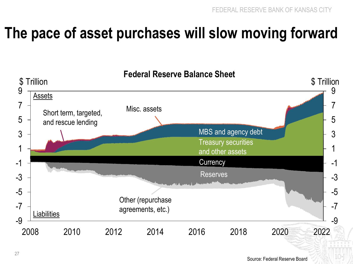#### **The pace of asset purchases will slow moving forward**

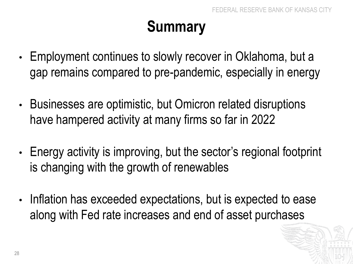## **Summary**

- Employment continues to slowly recover in Oklahoma, but a gap remains compared to pre-pandemic, especially in energy
- Businesses are optimistic, but Omicron related disruptions have hampered activity at many firms so far in 2022
- Energy activity is improving, but the sector's regional footprint is changing with the growth of renewables
- Inflation has exceeded expectations, but is expected to ease along with Fed rate increases and end of asset purchases